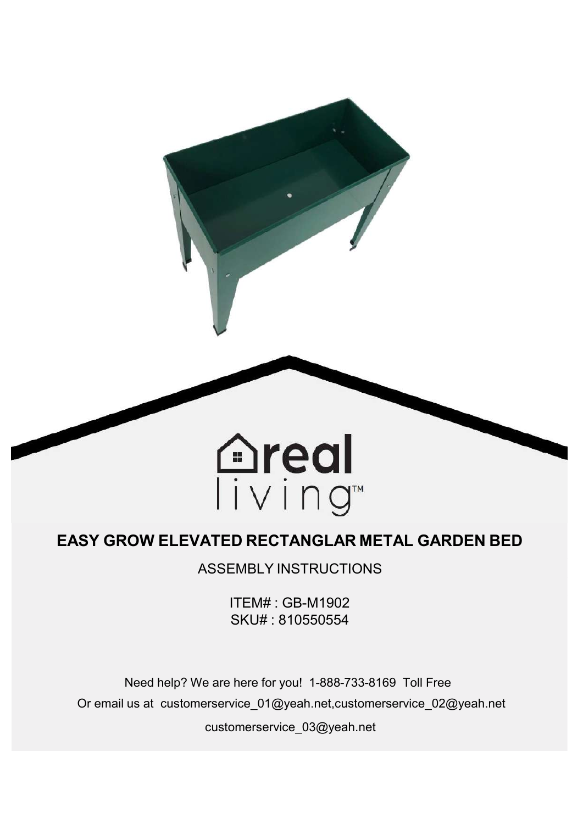

# **EASY GROW ELEVATED RECTANGLAR METAL GARDEN BED**

ASSEMBLY INSTRUCTIONS

ITEM# : GB-M1902 SKU# : 810550554

Need help? We are here for you! 1-888-733-8169 Toll Free Or email us at customerservice\_01@yeah.net,customerservice\_02@yeah.net customerservice\_03@yeah.net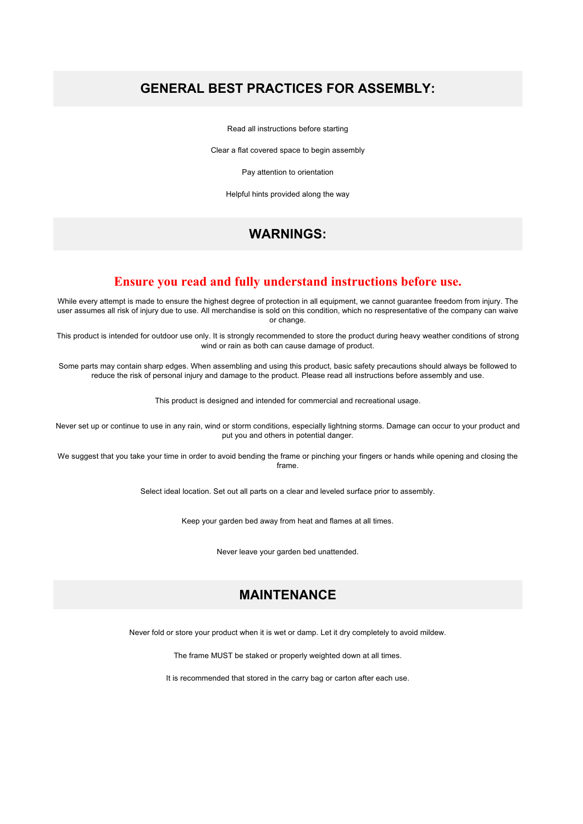## **GENERAL BEST PRACTICES FOR ASSEMBLY:**

Read all instructions before starting

Clear a flat covered space to begin assembly

Pay attention to orientation

Helpful hints provided along the way

## **WARNINGS:**

#### **Ensure you read and fully understand instructions before use.**

While every attempt is made to ensure the highest degree of protection in all equipment, we cannot guarantee freedom from injury. The user assumes all risk of injury due to use. All merchandise is sold on this condition, which no respresentative ofthe company can waive or change.

This product is intended for outdoor use only. It is strongly recommended to store the product during heavy weather conditions of strong wind or rain as both can cause damage of product.

Some parts may contain sharp edges. When assembling and using this product, basic safety precautions should always be followed to reduce the risk of personal injury and damage to the product. Please read all instructions before assembly and use.

This product is designed and intended for commercial and recreational usage.

Never set up or continue to use in any rain, wind or storm conditions, especially lightning storms. Damage can occur to your product and put you and others in potential danger.

We suggest that you take your time in order to avoid bending the frame or pinching your fingers or hands while opening and closing the frame.

Select ideal location. Set out all parts on a clear and leveled surface prior to assembly.

Keep your garden bed away from heat and flames at all times.

Never leave your garden bed unattended.

# **MAINTENANCE**

Never fold or store your product when it is wet or damp. Let it dry completely to avoid mildew.

The frame MUST be staked or properly weighted down at all times.

It is recommended that stored in the carry bag or carton after each use.